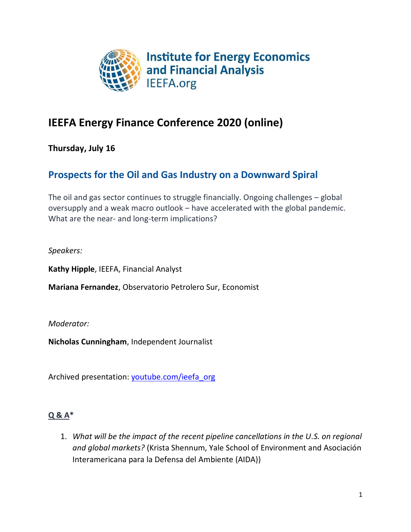

# **IEEFA Energy Finance Conference 2020 (online)**

**Thursday, July 16**

## **Prospects for the Oil and Gas Industry on a Downward Spiral**

The oil and gas sector continues to struggle financially. Ongoing challenges – global oversupply and a weak macro outlook – have accelerated with the global pandemic. What are the near- and long-term implications?

*Speakers:*

**Kathy Hipple**, IEEFA, Financial Analyst

**Mariana Fernandez**, Observatorio Petrolero Sur, Economist

*Moderator:*

**Nicholas Cunningham**, Independent Journalist

Archived presentation: [youtube.com/ieefa\\_org](https://youtu.be/LfDHyZEnRvI)

### **Q & A\***

1. *What will be the impact of the recent pipeline cancellations in the U.S. on regional and global markets?* (Krista Shennum, Yale School of Environment and Asociación Interamericana para la Defensa del Ambiente (AIDA))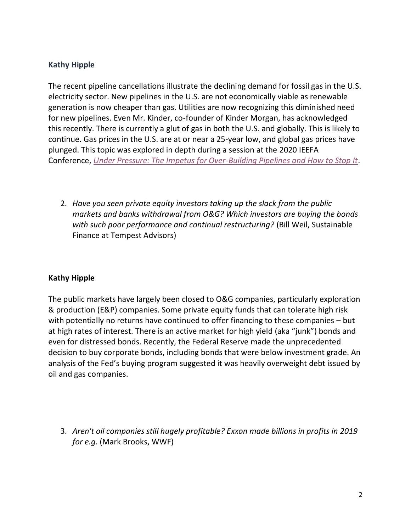The recent pipeline cancellations illustrate the declining demand for fossil gas in the U.S. electricity sector. New pipelines in the U.S. are not economically viable as renewable generation is now cheaper than gas. Utilities are now recognizing this diminished need for new pipelines. Even Mr. Kinder, co-founder of Kinder Morgan, has acknowledged this recently. There is currently a glut of gas in both the U.S. and globally. This is likely to continue. Gas prices in the U.S. are at or near a 25-year low, and global gas prices have plunged. This topic was explored in depth during a session at the 2020 IEEFA Conference, *[Under Pressure: The Impetus for Over-Building Pipelines and How to Stop It](https://youtu.be/Oh4yPMwDSWU)*.

2. *Have you seen private equity investors taking up the slack from the public markets and banks withdrawal from O&G? Which investors are buying the bonds with such poor performance and continual restructuring?* (Bill Weil, Sustainable Finance at Tempest Advisors)

### **Kathy Hipple**

The public markets have largely been closed to O&G companies, particularly exploration & production (E&P) companies. Some private equity funds that can tolerate high risk with potentially no returns have continued to offer financing to these companies – but at high rates of interest. There is an active market for high yield (aka "junk") bonds and even for distressed bonds. Recently, the Federal Reserve made the unprecedented decision to buy corporate bonds, including bonds that were below investment grade. An analysis of the Fed's buying program suggested it was heavily overweight debt issued by oil and gas companies.

3. *Aren't oil companies still hugely profitable? Exxon made billions in profits in 2019 for e.g.* (Mark Brooks, WWF)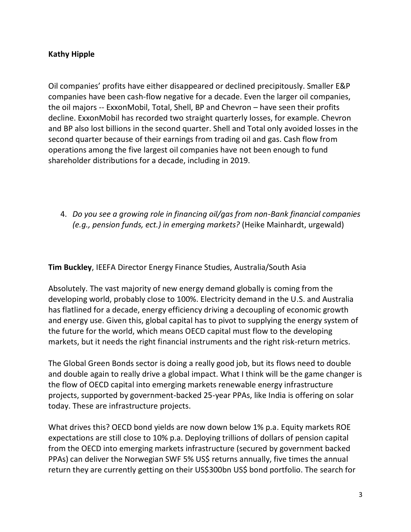Oil companies' profits have either disappeared or declined precipitously. Smaller E&P companies have been cash-flow negative for a decade. Even the larger oil companies, the oil majors -- ExxonMobil, Total, Shell, BP and Chevron – have seen their profits decline. ExxonMobil has recorded two straight quarterly losses, for example. Chevron and BP also lost billions in the second quarter. Shell and Total only avoided losses in the second quarter because of their earnings from trading oil and gas. Cash flow from operations among the five largest oil companies have not been enough to fund shareholder distributions for a decade, including in 2019.

4. *Do you see a growing role in financing oil/gas from non-Bank financial companies (e.g., pension funds, ect.) in emerging markets?* (Heike Mainhardt, urgewald)

**Tim Buckley**, IEEFA Director Energy Finance Studies, Australia/South Asia

Absolutely. The vast majority of new energy demand globally is coming from the developing world, probably close to 100%. Electricity demand in the U.S. and Australia has flatlined for a decade, energy efficiency driving a decoupling of economic growth and energy use. Given this, global capital has to pivot to supplying the energy system of the future for the world, which means OECD capital must flow to the developing markets, but it needs the right financial instruments and the right risk-return metrics.

The Global Green Bonds sector is doing a really good job, but its flows need to double and double again to really drive a global impact. What I think will be the game changer is the flow of OECD capital into emerging markets renewable energy infrastructure projects, supported by government-backed 25-year PPAs, like India is offering on solar today. These are infrastructure projects.

What drives this? OECD bond yields are now down below 1% p.a. Equity markets ROE expectations are still close to 10% p.a. Deploying trillions of dollars of pension capital from the OECD into emerging markets infrastructure (secured by government backed PPAs) can deliver the Norwegian SWF 5% US\$ returns annually, five times the annual return they are currently getting on their US\$300bn US\$ bond portfolio. The search for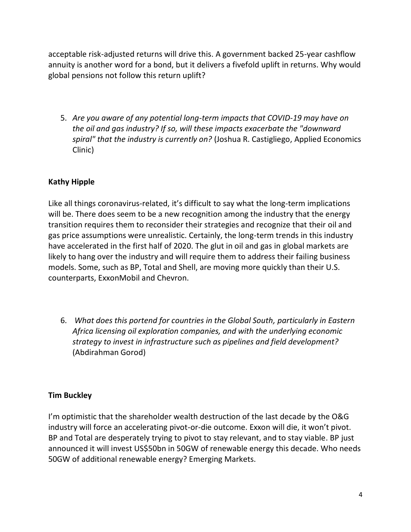acceptable risk-adjusted returns will drive this. A government backed 25-year cashflow annuity is another word for a bond, but it delivers a fivefold uplift in returns. Why would global pensions not follow this return uplift?

5. *Are you aware of any potential long-term impacts that COVID-19 may have on the oil and gas industry? If so, will these impacts exacerbate the "downward spiral" that the industry is currently on?* (Joshua R. Castigliego, Applied Economics Clinic)

### **Kathy Hipple**

Like all things coronavirus-related, it's difficult to say what the long-term implications will be. There does seem to be a new recognition among the industry that the energy transition requires them to reconsider their strategies and recognize that their oil and gas price assumptions were unrealistic. Certainly, the long-term trends in this industry have accelerated in the first half of 2020. The glut in oil and gas in global markets are likely to hang over the industry and will require them to address their failing business models. Some, such as BP, Total and Shell, are moving more quickly than their U.S. counterparts, ExxonMobil and Chevron.

6. *What does this portend for countries in the Global South, particularly in Eastern Africa licensing oil exploration companies, and with the underlying economic strategy to invest in infrastructure such as pipelines and field development?* (Abdirahman Gorod)

### **Tim Buckley**

I'm optimistic that the shareholder wealth destruction of the last decade by the O&G industry will force an accelerating pivot-or-die outcome. Exxon will die, it won't pivot. BP and Total are desperately trying to pivot to stay relevant, and to stay viable. BP just announced it will invest US\$50bn in 50GW of renewable energy this decade. Who needs 50GW of additional renewable energy? Emerging Markets.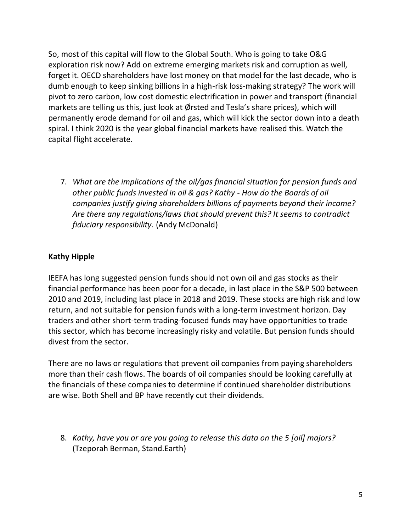So, most of this capital will flow to the Global South. Who is going to take O&G exploration risk now? Add on extreme emerging markets risk and corruption as well, forget it. OECD shareholders have lost money on that model for the last decade, who is dumb enough to keep sinking billions in a high-risk loss-making strategy? The work will pivot to zero carbon, low cost domestic electrification in power and transport (financial markets are telling us this, just look at Ørsted and Tesla's share prices), which will permanently erode demand for oil and gas, which will kick the sector down into a death spiral. I think 2020 is the year global financial markets have realised this. Watch the capital flight accelerate.

7. *What are the implications of the oil/gas financial situation for pension funds and other public funds invested in oil & gas? Kathy - How do the Boards of oil companies justify giving shareholders billions of payments beyond their income? Are there any regulations/laws that should prevent this? It seems to contradict fiduciary responsibility.* (Andy McDonald)

### **Kathy Hipple**

IEEFA has long suggested pension funds should not own oil and gas stocks as their financial performance has been poor for a decade, in last place in the S&P 500 between 2010 and 2019, including last place in 2018 and 2019. These stocks are high risk and low return, and not suitable for pension funds with a long-term investment horizon. Day traders and other short-term trading-focused funds may have opportunities to trade this sector, which has become increasingly risky and volatile. But pension funds should divest from the sector.

There are no laws or regulations that prevent oil companies from paying shareholders more than their cash flows. The boards of oil companies should be looking carefully at the financials of these companies to determine if continued shareholder distributions are wise. Both Shell and BP have recently cut their dividends.

8. *Kathy, have you or are you going to release this data on the 5 [oil] majors?* (Tzeporah Berman, Stand.Earth)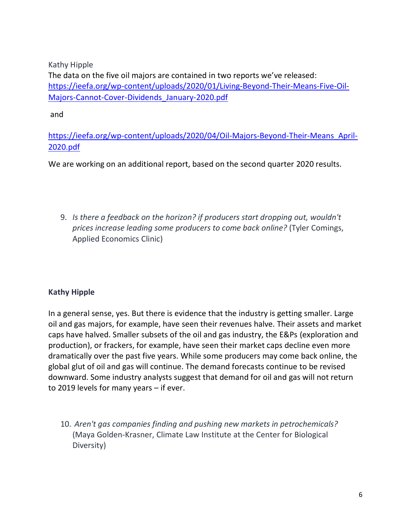The data on the five oil majors are contained in two reports we've released: [https://ieefa.org/wp-content/uploads/2020/01/Living-Beyond-Their-Means-Five-Oil-](https://ieefa.org/wp-content/uploads/2020/01/Living-Beyond-Their-Means-Five-Oil-Majors-Cannot-Cover-Dividends_January-2020.pdf)[Majors-Cannot-Cover-Dividends\\_January-2020.pdf](https://ieefa.org/wp-content/uploads/2020/01/Living-Beyond-Their-Means-Five-Oil-Majors-Cannot-Cover-Dividends_January-2020.pdf)

and

[https://ieefa.org/wp-content/uploads/2020/04/Oil-Majors-Beyond-Their-Means\\_April-](https://ieefa.org/wp-content/uploads/2020/04/Oil-Majors-Beyond-Their-Means_April-2020.pdf)[2020.pdf](https://ieefa.org/wp-content/uploads/2020/04/Oil-Majors-Beyond-Their-Means_April-2020.pdf)

We are working on an additional report, based on the second quarter 2020 results.

9. *Is there a feedback on the horizon? if producers start dropping out, wouldn't prices increase leading some producers to come back online?* (Tyler Comings, Applied Economics Clinic)

### **Kathy Hipple**

In a general sense, yes. But there is evidence that the industry is getting smaller. Large oil and gas majors, for example, have seen their revenues halve. Their assets and market caps have halved. Smaller subsets of the oil and gas industry, the E&Ps (exploration and production), or frackers, for example, have seen their market caps decline even more dramatically over the past five years. While some producers may come back online, the global glut of oil and gas will continue. The demand forecasts continue to be revised downward. Some industry analysts suggest that demand for oil and gas will not return to 2019 levels for many years – if ever.

10. *Aren't gas companies finding and pushing new markets in petrochemicals?* (Maya Golden-Krasner, Climate Law Institute at the Center for Biological Diversity)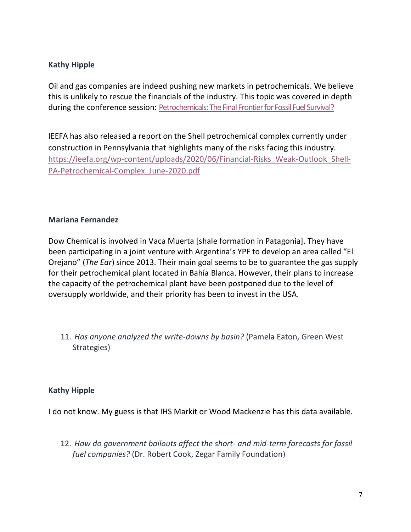Oil and gas companies are indeed pushing new markets in petrochemicals. We believe this is unlikely to rescue the financials of the industry. This topic was covered in depth during the conference session: [Petrochemicals: The Final Frontier for Fossil Fuel Survival?](https://youtu.be/O0bIKkNxRIk)

IEEFA has also released a report on the Shell petrochemical complex currently under construction in Pennsylvania that highlights many of the risks facing this industry. [https://ieefa.org/wp-content/uploads/2020/06/Financial-Risks\\_Weak-Outlook\\_Shell-](https://ieefa.org/wp-content/uploads/2020/06/Financial-Risks_Weak-Outlook_Shell-PA-Petrochemical-Complex_June-2020.pdf)[PA-Petrochemical-Complex\\_June-2020.pdf](https://ieefa.org/wp-content/uploads/2020/06/Financial-Risks_Weak-Outlook_Shell-PA-Petrochemical-Complex_June-2020.pdf)

### **Mariana Fernandez**

Dow Chemical is involved in Vaca Muerta [shale formation in Patagonia]. They have been participating in a joint venture with Argentina's YPF to develop an area called "El Orejano" (*The Ear*) since 2013. Their main goal seems to be to guarantee the gas supply for their petrochemical plant located in Bahía Blanca. However, their plans to increase the capacity of the petrochemical plant have been postponed due to the level of oversupply worldwide, and their priority has been to invest in the USA.

11. *Has anyone analyzed the write-downs by basin?* (Pamela Eaton, Green West Strategies)

### **Kathy Hipple**

I do not know. My guess is that IHS Markit or Wood Mackenzie has this data available.

12. *How do government bailouts affect the short- and mid-term forecasts for fossil fuel companies?* (Dr. Robert Cook, Zegar Family Foundation)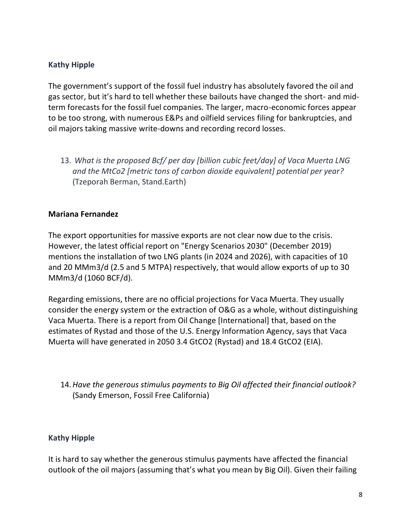The government's support of the fossil fuel industry has absolutely favored the oil and gas sector, but it's hard to tell whether these bailouts have changed the short- and midterm forecasts for the fossil fuel companies. The larger, macro-economic forces appear to be too strong, with numerous E&Ps and oilfield services filing for bankruptcies, and oil majors taking massive write-downs and recording record losses.

13. *What is the proposed Bcf/ per day [billion cubic feet/day] of Vaca Muerta LNG and the MtCo2 [metric tons of carbon dioxide equivalent] potential per year?* (Tzeporah Berman, Stand.Earth)

#### **Mariana Fernandez**

The export opportunities for massive exports are not clear now due to the crisis. However, the latest official report on "Energy Scenarios 2030" (December 2019) mentions the installation of two LNG plants (in 2024 and 2026), with capacities of 10 and 20 MMm3/d (2.5 and 5 MTPA) respectively, that would allow exports of up to 30 MMm3/d (1060 BCF/d).

Regarding emissions, there are no official projections for Vaca Muerta. They usually consider the energy system or the extraction of O&G as a whole, without distinguishing Vaca Muerta. There is a report from Oil Change [International] that, based on the estimates of Rystad and those of the U.S. Energy Information Agency, says that Vaca Muerta will have generated in 2050 3.4 GtCO2 (Rystad) and 18.4 GtCO2 (EIA).

### 14.*Have the generous stimulus payments to Big Oil affected their financial outlook?*  (Sandy Emerson, Fossil Free California)

### **Kathy Hipple**

It is hard to say whether the generous stimulus payments have affected the financial outlook of the oil majors (assuming that's what you mean by Big Oil). Given their failing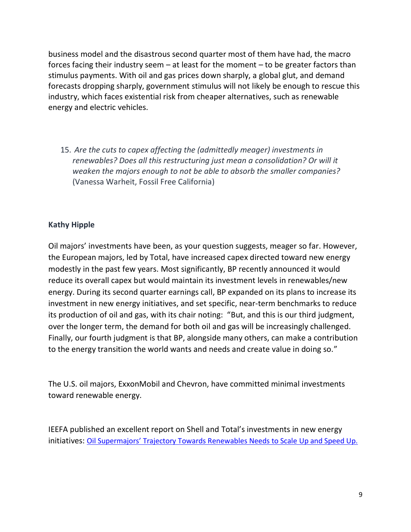business model and the disastrous second quarter most of them have had, the macro forces facing their industry seem – at least for the moment – to be greater factors than stimulus payments. With oil and gas prices down sharply, a global glut, and demand forecasts dropping sharply, government stimulus will not likely be enough to rescue this industry, which faces existential risk from cheaper alternatives, such as renewable energy and electric vehicles.

15. *Are the cuts to capex affecting the (admittedly meager) investments in renewables? Does all this restructuring just mean a consolidation? Or will it weaken the majors enough to not be able to absorb the smaller companies?* (Vanessa Warheit, Fossil Free California)

### **Kathy Hipple**

Oil majors' investments have been, as your question suggests, meager so far. However, the European majors, led by Total, have increased capex directed toward new energy modestly in the past few years. Most significantly, BP recently announced it would reduce its overall capex but would maintain its investment levels in renewables/new energy. During its second quarter earnings call, BP expanded on its plans to increase its investment in new energy initiatives, and set specific, near-term benchmarks to reduce its production of oil and gas, with its chair noting: "But, and this is our third judgment, over the longer term, the demand for both oil and gas will be increasingly challenged. Finally, our fourth judgment is that BP, alongside many others, can make a contribution to the energy transition the world wants and needs and create value in doing so."

The U.S. oil majors, ExxonMobil and Chevron, have committed minimal investments toward renewable energy.

IEEFA published an excellent report on Shell and Total's investments in new energy initiatives: [Oil Supermajors' Trajectory Towards Renewables Needs to Scale](https://ieefa.org/wp-content/uploads/2020/07/Supermajors-Trajectory-Towards-Renewables-Needs-to-Scale-and-Speed-Up_July-2020.pdf) Up and Speed Up.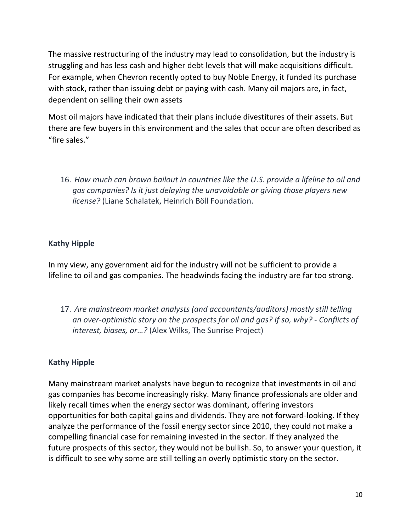The massive restructuring of the industry may lead to consolidation, but the industry is struggling and has less cash and higher debt levels that will make acquisitions difficult. For example, when Chevron recently opted to buy Noble Energy, it funded its purchase with stock, rather than issuing debt or paying with cash. Many oil majors are, in fact, dependent on selling their own assets

Most oil majors have indicated that their plans include divestitures of their assets. But there are few buyers in this environment and the sales that occur are often described as "fire sales."

16. *How much can brown bailout in countries like the U.S. provide a lifeline to oil and gas companies? Is it just delaying the unavoidable or giving those players new license?* (Liane Schalatek, Heinrich Böll Foundation.

### **Kathy Hipple**

In my view, any government aid for the industry will not be sufficient to provide a lifeline to oil and gas companies. The headwinds facing the industry are far too strong.

17. *Are mainstream market analysts (and accountants/auditors) mostly still telling an over-optimistic story on the prospects for oil and gas? If so, why? - Conflicts of interest, biases, or…?* (Alex Wilks, The Sunrise Project)

### **Kathy Hipple**

Many mainstream market analysts have begun to recognize that investments in oil and gas companies has become increasingly risky. Many finance professionals are older and likely recall times when the energy sector was dominant, offering investors opportunities for both capital gains and dividends. They are not forward-looking. If they analyze the performance of the fossil energy sector since 2010, they could not make a compelling financial case for remaining invested in the sector. If they analyzed the future prospects of this sector, they would not be bullish. So, to answer your question, it is difficult to see why some are still telling an overly optimistic story on the sector.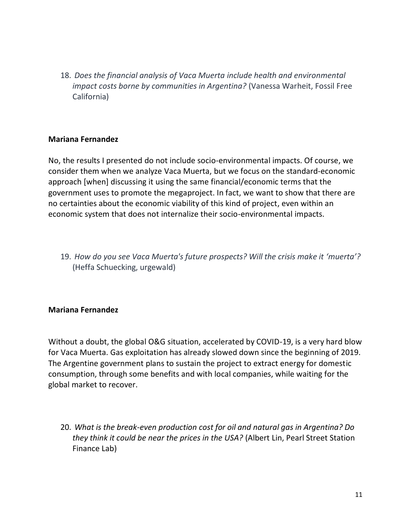18. *Does the financial analysis of Vaca Muerta include health and environmental impact costs borne by communities in Argentina?* (Vanessa Warheit, Fossil Free California)

#### **Mariana Fernandez**

No, the results I presented do not include socio-environmental impacts. Of course, we consider them when we analyze Vaca Muerta, but we focus on the standard-economic approach [when] discussing it using the same financial/economic terms that the government uses to promote the megaproject. In fact, we want to show that there are no certainties about the economic viability of this kind of project, even within an economic system that does not internalize their socio-environmental impacts.

19. *How do you see Vaca Muerta's future prospects? Will the crisis make it 'muerta'?* (Heffa Schuecking, urgewald)

### **Mariana Fernandez**

Without a doubt, the global O&G situation, accelerated by COVID-19, is a very hard blow for Vaca Muerta. Gas exploitation has already slowed down since the beginning of 2019. The Argentine government plans to sustain the project to extract energy for domestic consumption, through some benefits and with local companies, while waiting for the global market to recover.

20. *What is the break-even production cost for oil and natural gas in Argentina? Do they think it could be near the prices in the USA?* (Albert Lin, Pearl Street Station Finance Lab)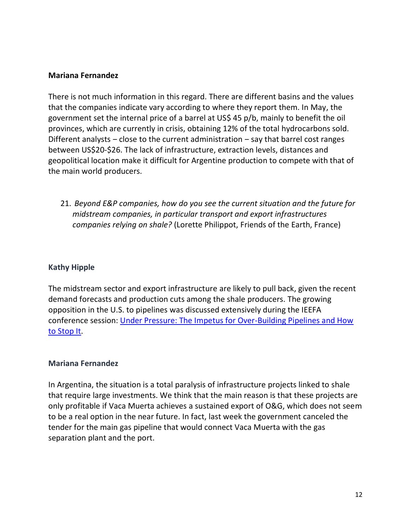#### **Mariana Fernandez**

There is not much information in this regard. There are different basins and the values that the companies indicate vary according to where they report them. In May, the government set the internal price of a barrel at US\$ 45 p/b, mainly to benefit the oil provinces, which are currently in crisis, obtaining 12% of the total hydrocarbons sold. Different analysts  $-$  close to the current administration  $-$  say that barrel cost ranges between US\$20-\$26. The lack of infrastructure, extraction levels, distances and geopolitical location make it difficult for Argentine production to compete with that of the main world producers.

21. *Beyond E&P companies, how do you see the current situation and the future for midstream companies, in particular transport and export infrastructures companies relying on shale?* (Lorette Philippot, Friends of the Earth, France)

### **Kathy Hipple**

The midstream sector and export infrastructure are likely to pull back, given the recent demand forecasts and production cuts among the shale producers. The growing opposition in the U.S. to pipelines was discussed extensively during the IEEFA conference session: [Under Pressure: The Impetus for Over-Building Pipelines and How](https://youtu.be/Oh4yPMwDSWU)  [to Stop It.](https://youtu.be/Oh4yPMwDSWU)

#### **Mariana Fernandez**

In Argentina, the situation is a total paralysis of infrastructure projects linked to shale that require large investments. We think that the main reason is that these projects are only profitable if Vaca Muerta achieves a sustained export of O&G, which does not seem to be a real option in the near future. In fact, last week the government canceled the tender for the main gas pipeline that would connect Vaca Muerta with the gas separation plant and the port.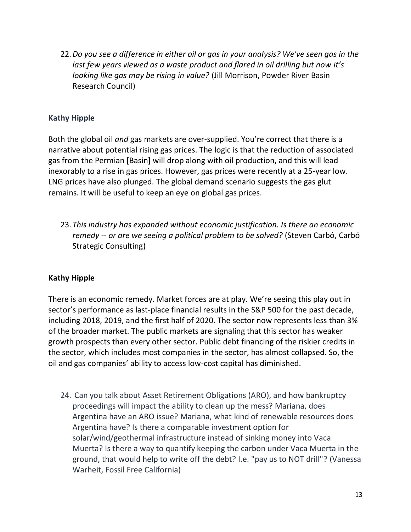22.*Do you see a difference in either oil or gas in your analysis? We've seen gas in the last few years viewed as a waste product and flared in oil drilling but now it's looking like gas may be rising in value?* (Jill Morrison, Powder River Basin Research Council)

### **Kathy Hipple**

Both the global oil *and* gas markets are over-supplied. You're correct that there is a narrative about potential rising gas prices. The logic is that the reduction of associated gas from the Permian [Basin] will drop along with oil production, and this will lead inexorably to a rise in gas prices. However, gas prices were recently at a 25-year low. LNG prices have also plunged. The global demand scenario suggests the gas glut remains. It will be useful to keep an eye on global gas prices.

23. *This industry has expanded without economic justification. Is there an economic remedy -- or are we seeing a political problem to be solved?* (Steven Carbó, Carbó Strategic Consulting)

### **Kathy Hipple**

There is an economic remedy. Market forces are at play. We're seeing this play out in sector's performance as last-place financial results in the S&P 500 for the past decade, including 2018, 2019, and the first half of 2020. The sector now represents less than 3% of the broader market. The public markets are signaling that this sector has weaker growth prospects than every other sector. Public debt financing of the riskier credits in the sector, which includes most companies in the sector, has almost collapsed. So, the oil and gas companies' ability to access low-cost capital has diminished.

24. Can you talk about Asset Retirement Obligations (ARO), and how bankruptcy proceedings will impact the ability to clean up the mess? Mariana, does Argentina have an ARO issue? Mariana, what kind of renewable resources does Argentina have? Is there a comparable investment option for solar/wind/geothermal infrastructure instead of sinking money into Vaca Muerta? Is there a way to quantify keeping the carbon under Vaca Muerta in the ground, that would help to write off the debt? I.e. "pay us to NOT drill"? (Vanessa Warheit, Fossil Free California)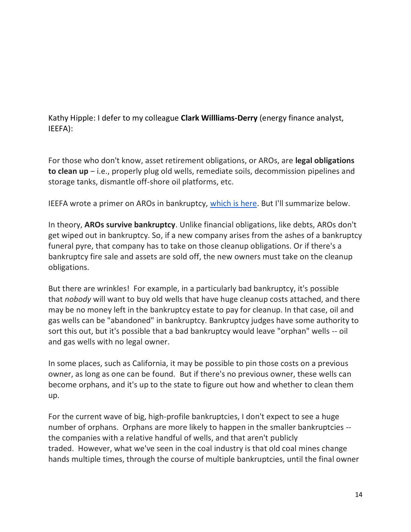Kathy Hipple: I defer to my colleague **Clark Willliams-Derry** (energy finance analyst, IEEFA):

For those who don't know, asset retirement obligations, or AROs, are **legal obligations to clean up** ‒ i.e., properly plug old wells, remediate soils, decommission pipelines and storage tanks, dismantle off-shore oil platforms, etc.

IEEFA wrote a primer on AROs in bankruptcy, [which is here.](https://ieefa.org/ieefa-primer-cleanup-costs-supersede-most-other-liabilities-in-oil-and-gas-bankruptcies/) But I'll summarize below.

In theory, **AROs survive bankruptcy**. Unlike financial obligations, like debts, AROs don't get wiped out in bankruptcy. So, if a new company arises from the ashes of a bankruptcy funeral pyre, that company has to take on those cleanup obligations. Or if there's a bankruptcy fire sale and assets are sold off, the new owners must take on the cleanup obligations.

But there are wrinkles! For example, in a particularly bad bankruptcy, it's possible that *nobody* will want to buy old wells that have huge cleanup costs attached, and there may be no money left in the bankruptcy estate to pay for cleanup. In that case, oil and gas wells can be "abandoned" in bankruptcy. Bankruptcy judges have some authority to sort this out, but it's possible that a bad bankruptcy would leave "orphan" wells -- oil and gas wells with no legal owner.

In some places, such as California, it may be possible to pin those costs on a previous owner, as long as one can be found. But if there's no previous owner, these wells can become orphans, and it's up to the state to figure out how and whether to clean them up.

For the current wave of big, high-profile bankruptcies, I don't expect to see a huge number of orphans. Orphans are more likely to happen in the smaller bankruptcies - the companies with a relative handful of wells, and that aren't publicly traded. However, what we've seen in the coal industry is that old coal mines change hands multiple times, through the course of multiple bankruptcies, until the final owner